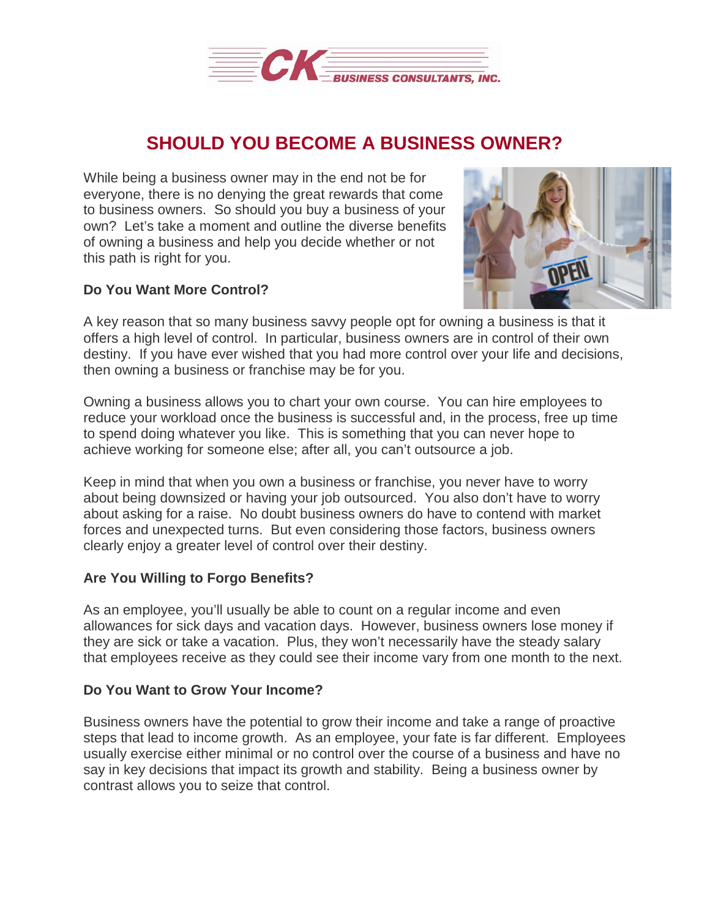

## **SHOULD YOU BECOME A BUSINESS OWNER?**

While being a business owner may in the end not be for everyone, there is no denying the great rewards that come to business owners. So should you buy a business of your own? Let's take a moment and outline the diverse benefits of owning a business and help you decide whether or not this path is right for you.

## **Do You Want More Control?**



A key reason that so many business savvy people opt for owning a business is that it offers a high level of control. In particular, business owners are in control of their own destiny. If you have ever wished that you had more control over your life and decisions, then owning a business or franchise may be for you.

Owning a business allows you to chart your own course. You can hire employees to reduce your workload once the business is successful and, in the process, free up time to spend doing whatever you like. This is something that you can never hope to achieve working for someone else; after all, you can't outsource a job.

Keep in mind that when you own a business or franchise, you never have to worry about being downsized or having your job outsourced. You also don't have to worry about asking for a raise. No doubt business owners do have to contend with market forces and unexpected turns. But even considering those factors, business owners clearly enjoy a greater level of control over their destiny.

## **Are You Willing to Forgo Benefits?**

As an employee, you'll usually be able to count on a regular income and even allowances for sick days and vacation days. However, business owners lose money if they are sick or take a vacation. Plus, they won't necessarily have the steady salary that employees receive as they could see their income vary from one month to the next.

## **Do You Want to Grow Your Income?**

Business owners have the potential to grow their income and take a range of proactive steps that lead to income growth. As an employee, your fate is far different. Employees usually exercise either minimal or no control over the course of a business and have no say in key decisions that impact its growth and stability. Being a business owner by contrast allows you to seize that control.